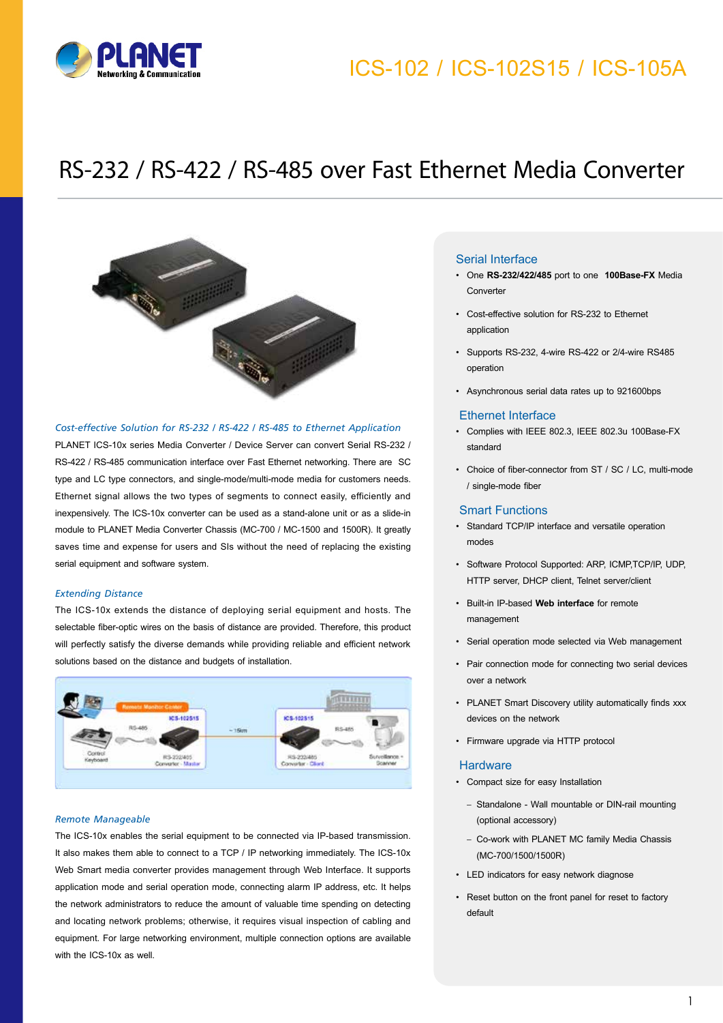## ICS-102 / ICS-102S15 / ICS-105A



## RS-232 / RS-422 / RS-485 over Fast Ethernet Media Converter



#### *Cost-effective Solution for RS-232 / RS-422 / RS-485 to Ethernet Application*

PLANET ICS-10x series Media Converter / Device Server can convert Serial RS-232 / RS-422 / RS-485 communication interface over Fast Ethernet networking. There are SC type and LC type connectors, and single-mode/multi-mode media for customers needs. Ethernet signal allows the two types of segments to connect easily, efficiently and inexpensively. The ICS-10x converter can be used as a stand-alone unit or as a slide-in module to PLANET Media Converter Chassis (MC-700 / MC-1500 and 1500R). It greatly saves time and expense for users and SIs without the need of replacing the existing serial equipment and software system.

#### *Extending Distance*

The ICS-10x extends the distance of deploying serial equipment and hosts. The selectable fiber-optic wires on the basis of distance are provided. Therefore, this product will perfectly satisfy the diverse demands while providing reliable and efficient network solutions based on the distance and budgets of installation.



#### *Remote Manageable*

The ICS-10x enables the serial equipment to be connected via IP-based transmission. It also makes them able to connect to a TCP / IP networking immediately. The ICS-10x Web Smart media converter provides management through Web Interface. It supports application mode and serial operation mode, connecting alarm IP address, etc. It helps the network administrators to reduce the amount of valuable time spending on detecting and locating network problems; otherwise, it requires visual inspection of cabling and equipment. For large networking environment, multiple connection options are available with the ICS-10x as well.

#### Serial Interface

- One **RS-232/422/485** port to one **100Base-FX** Media Converter
- Cost-effective solution for RS-232 to Ethernet application
- Supports RS-232, 4-wire RS-422 or 2/4-wire RS485 operation
- Asynchronous serial data rates up to 921600bps

#### Ethernet Interface

- Complies with IEEE 802.3, IEEE 802.3u 100Base-FX standard
- Choice of fiber-connector from ST / SC / LC, multi-mode / single-mode fiber

#### Smart Functions

- Standard TCP/IP interface and versatile operation modes
- Software Protocol Supported: ARP, ICMP,TCP/IP, UDP, HTTP server, DHCP client, Telnet server/client
- Built-in IP-based **Web interface** for remote management
- Serial operation mode selected via Web management
- Pair connection mode for connecting two serial devices over a network
- PLANET Smart Discovery utility automatically finds xxx devices on the network
- Firmware upgrade via HTTP protocol

#### **Hardware**

- Compact size for easy Installation
	- Standalone Wall mountable or DIN-rail mounting (optional accessory)
	- Co-work with PLANET MC family Media Chassis (MC-700/1500/1500R)
- LED indicators for easy network diagnose
- Reset button on the front panel for reset to factory default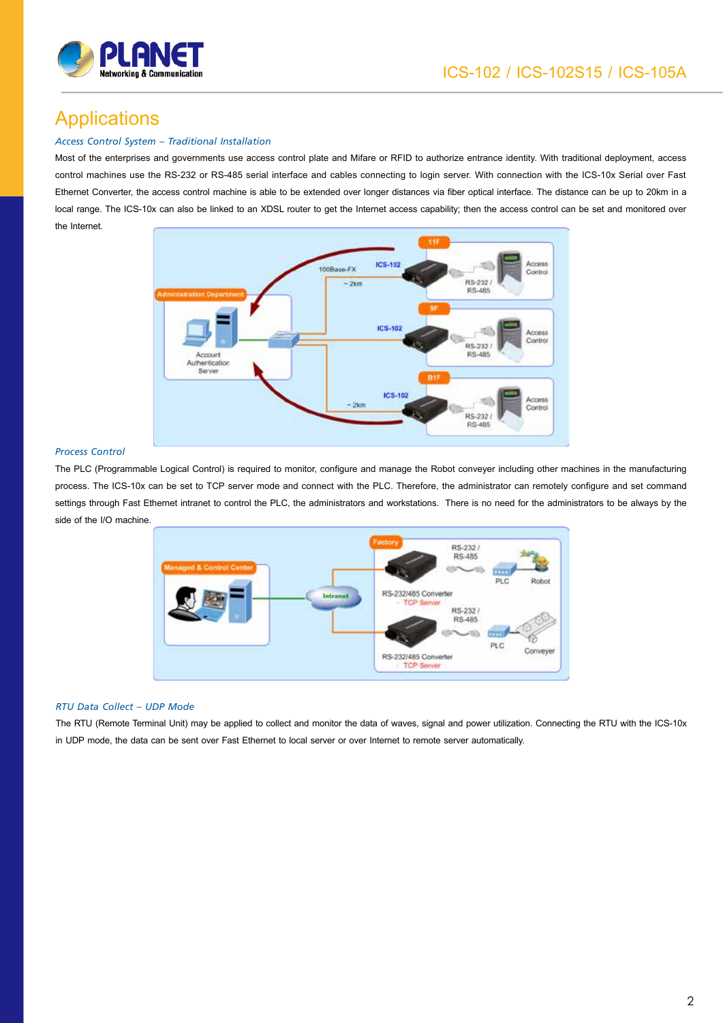

### Applications

#### *Access Control System – Traditional Installation*

Most of the enterprises and governments use access control plate and Mifare or RFID to authorize entrance identity. With traditional deployment, access control machines use the RS-232 or RS-485 serial interface and cables connecting to login server. With connection with the ICS-10x Serial over Fast Ethernet Converter, the access control machine is able to be extended over longer distances via fiber optical interface. The distance can be up to 20km in a local range. The ICS-10x can also be linked to an XDSL router to get the Internet access capability; then the access control can be set and monitored over the Internet.



#### *Process Control*

The PLC (Programmable Logical Control) is required to monitor, configure and manage the Robot conveyer including other machines in the manufacturing process. The ICS-10x can be set to TCP server mode and connect with the PLC. Therefore, the administrator can remotely configure and set command settings through Fast Ethernet intranet to control the PLC, the administrators and workstations. There is no need for the administrators to be always by the side of the I/O machine.



#### *RTU Data Collect – UDP Mode*

The RTU (Remote Terminal Unit) may be applied to collect and monitor the data of waves, signal and power utilization. Connecting the RTU with the ICS-10x in UDP mode, the data can be sent over Fast Ethernet to local server or over Internet to remote server automatically.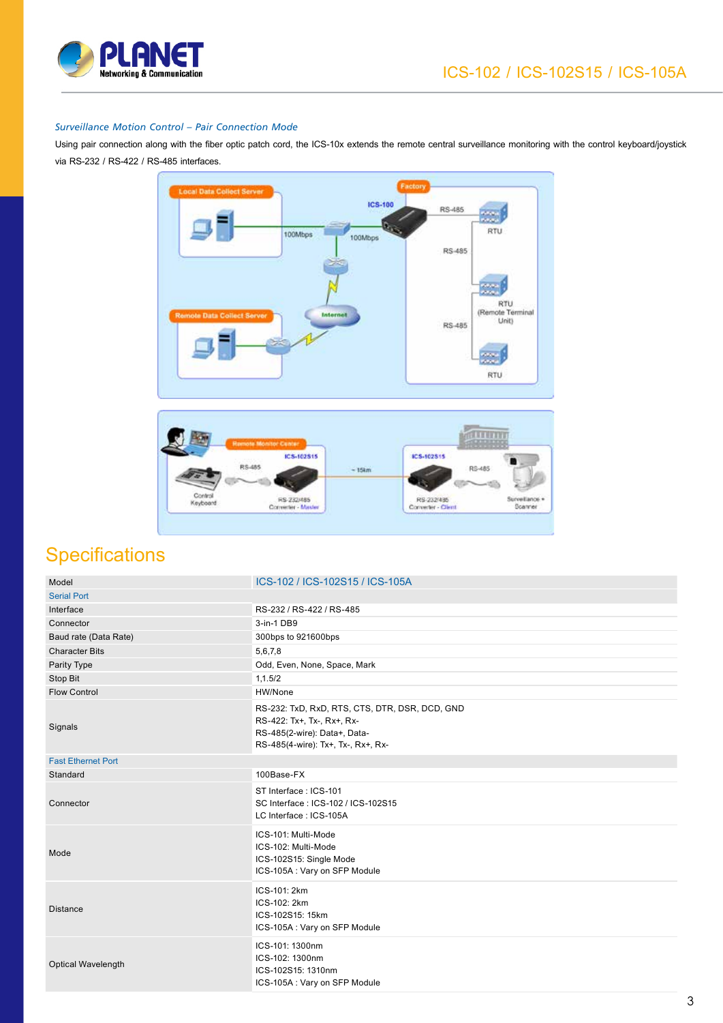

#### *Surveillance Motion Control – Pair Connection Mode*

Using pair connection along with the fiber optic patch cord, the ICS-10x extends the remote central surveillance monitoring with the control keyboard/joystick via RS-232 / RS-422 / RS-485 interfaces.





### **Specifications**

| Model                     | ICS-102 / ICS-102S15 / ICS-105A                                                                                                                    |
|---------------------------|----------------------------------------------------------------------------------------------------------------------------------------------------|
| <b>Serial Port</b>        |                                                                                                                                                    |
| Interface                 | RS-232 / RS-422 / RS-485                                                                                                                           |
| Connector                 | 3-in-1 DB9                                                                                                                                         |
| Baud rate (Data Rate)     | 300bps to 921600bps                                                                                                                                |
| <b>Character Bits</b>     | 5,6,7,8                                                                                                                                            |
| Parity Type               | Odd, Even, None, Space, Mark                                                                                                                       |
| Stop Bit                  | 1,1.5/2                                                                                                                                            |
| <b>Flow Control</b>       | HW/None                                                                                                                                            |
| Signals                   | RS-232: TxD, RxD, RTS, CTS, DTR, DSR, DCD, GND<br>RS-422: Tx+, Tx-, Rx+, Rx-<br>RS-485(2-wire): Data+, Data-<br>RS-485(4-wire): Tx+, Tx-, Rx+, Rx- |
| <b>Fast Ethernet Port</b> |                                                                                                                                                    |
| Standard                  | 100Base-FX                                                                                                                                         |
| Connector                 | ST Interface: ICS-101<br>SC Interface: ICS-102 / ICS-102S15<br>LC Interface: ICS-105A                                                              |
| Mode                      | ICS-101: Multi-Mode<br>ICS-102: Multi-Mode<br>ICS-102S15: Single Mode<br>ICS-105A: Vary on SFP Module                                              |
| <b>Distance</b>           | ICS-101: 2km<br>ICS-102: 2km<br>ICS-102S15: 15km<br>ICS-105A : Vary on SFP Module                                                                  |
| Optical Wavelength        | ICS-101: 1300nm<br>ICS-102: 1300nm<br>ICS-102S15: 1310nm<br>ICS-105A: Vary on SFP Module                                                           |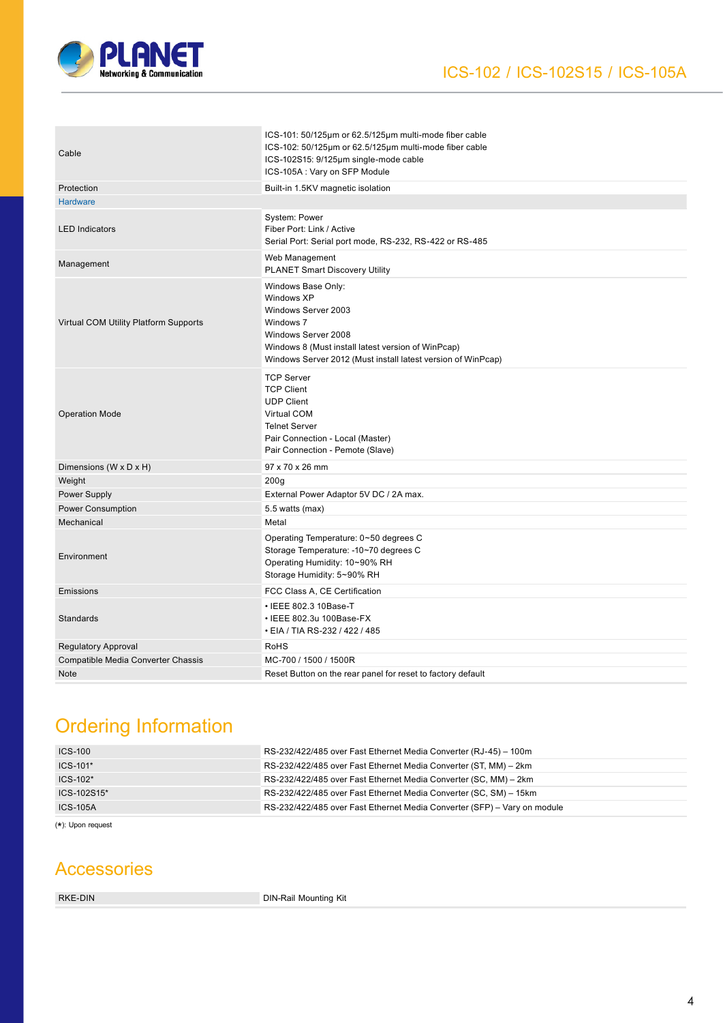

| Cable                                 | ICS-101: 50/125µm or 62.5/125µm multi-mode fiber cable<br>ICS-102: 50/125µm or 62.5/125µm multi-mode fiber cable<br>ICS-102S15: 9/125µm single-mode cable<br>ICS-105A: Vary on SFP Module                         |
|---------------------------------------|-------------------------------------------------------------------------------------------------------------------------------------------------------------------------------------------------------------------|
| Protection                            | Built-in 1.5KV magnetic isolation                                                                                                                                                                                 |
| <b>Hardware</b>                       |                                                                                                                                                                                                                   |
| <b>LED Indicators</b>                 | System: Power<br>Fiber Port: Link / Active<br>Serial Port: Serial port mode, RS-232, RS-422 or RS-485                                                                                                             |
| Management                            | Web Management<br>PLANET Smart Discovery Utility                                                                                                                                                                  |
| Virtual COM Utility Platform Supports | Windows Base Only:<br>Windows XP<br>Windows Server 2003<br>Windows 7<br>Windows Server 2008<br>Windows 8 (Must install latest version of WinPcap)<br>Windows Server 2012 (Must install latest version of WinPcap) |
| <b>Operation Mode</b>                 | <b>TCP Server</b><br><b>TCP Client</b><br><b>UDP Client</b><br><b>Virtual COM</b><br><b>Telnet Server</b><br>Pair Connection - Local (Master)<br>Pair Connection - Pemote (Slave)                                 |
| Dimensions (W x D x H)                | 97 x 70 x 26 mm                                                                                                                                                                                                   |
| Weight                                | 200 <sub>g</sub>                                                                                                                                                                                                  |
| Power Supply                          | External Power Adaptor 5V DC / 2A max.                                                                                                                                                                            |
| <b>Power Consumption</b>              | 5.5 watts (max)                                                                                                                                                                                                   |
| Mechanical                            | Metal                                                                                                                                                                                                             |
| Environment                           | Operating Temperature: 0~50 degrees C<br>Storage Temperature: -10~70 degrees C<br>Operating Humidity: 10~90% RH<br>Storage Humidity: 5~90% RH                                                                     |
| Emissions                             | FCC Class A, CE Certification                                                                                                                                                                                     |
| Standards                             | • IEEE 802.3 10Base-T<br>• IEEE 802.3u 100Base-FX<br>• EIA / TIA RS-232 / 422 / 485                                                                                                                               |
| Regulatory Approval                   | <b>RoHS</b>                                                                                                                                                                                                       |
| Compatible Media Converter Chassis    | MC-700 / 1500 / 1500R                                                                                                                                                                                             |
| <b>Note</b>                           | Reset Button on the rear panel for reset to factory default                                                                                                                                                       |

### Ordering Information

| <b>ICS-100</b>  | RS-232/422/485 over Fast Ethernet Media Converter (RJ-45) – 100m         |
|-----------------|--------------------------------------------------------------------------|
| $ICS-101*$      | RS-232/422/485 over Fast Ethernet Media Converter (ST, MM) - 2km         |
| $ICS-102*$      | RS-232/422/485 over Fast Ethernet Media Converter (SC, MM) - 2km         |
| ICS-102S15*     | RS-232/422/485 over Fast Ethernet Media Converter (SC, SM) – 15km        |
| <b>ICS-105A</b> | RS-232/422/485 over Fast Ethernet Media Converter (SFP) – Vary on module |
|                 |                                                                          |

( \*): Upon request

### Accessories

RKE-DIN **DIN-Rail Mounting Kit**